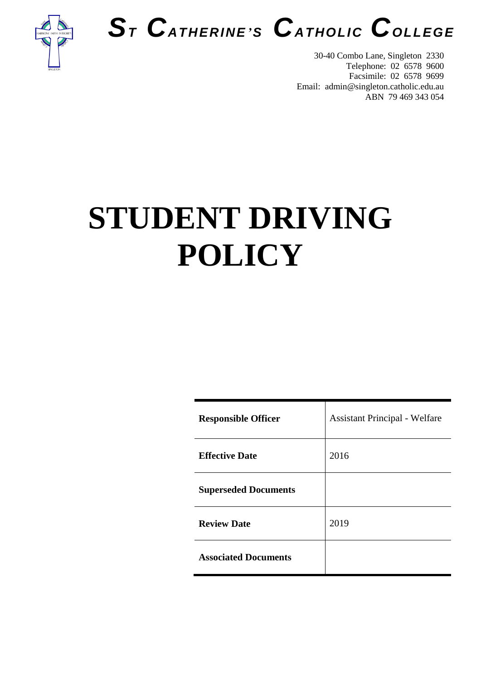



30-40 Combo Lane, Singleton 2330 Telephone: 02 6578 9600 Facsimile: 02 6578 9699 Email: admin@singleton.catholic.edu.au ABN 79 469 343 054

# **STUDENT DRIVING POLICY**

| <b>Responsible Officer</b>  | <b>Assistant Principal - Welfare</b> |
|-----------------------------|--------------------------------------|
| <b>Effective Date</b>       | 2016                                 |
| <b>Superseded Documents</b> |                                      |
| <b>Review Date</b>          | 2019                                 |
| <b>Associated Documents</b> |                                      |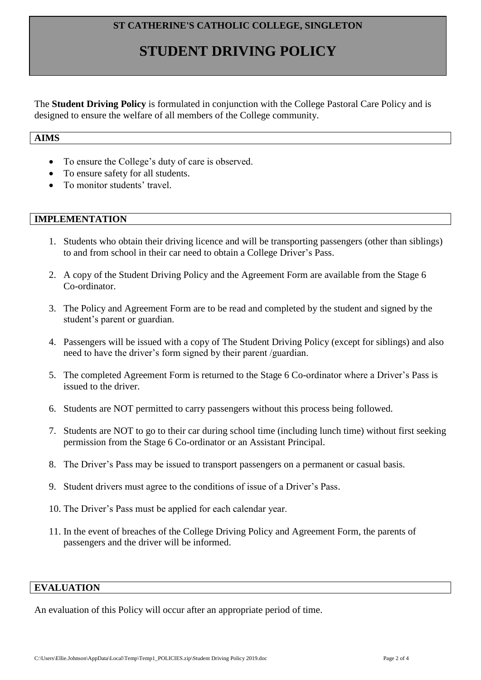### **ST CATHERINE'S CATHOLIC COLLEGE, SINGLETON**

# **STUDENT DRIVING POLICY**

The **Student Driving Policy** is formulated in conjunction with the College Pastoral Care Policy and is designed to ensure the welfare of all members of the College community.

# **AIMS**

- To ensure the College's duty of care is observed.
- To ensure safety for all students.
- To monitor students' travel.

#### **IMPLEMENTATION**

- 1. Students who obtain their driving licence and will be transporting passengers (other than siblings) to and from school in their car need to obtain a College Driver's Pass.
- 2. A copy of the Student Driving Policy and the Agreement Form are available from the Stage 6 Co-ordinator.
- 3. The Policy and Agreement Form are to be read and completed by the student and signed by the student's parent or guardian.
- 4. Passengers will be issued with a copy of The Student Driving Policy (except for siblings) and also need to have the driver's form signed by their parent /guardian.
- 5. The completed Agreement Form is returned to the Stage 6 Co-ordinator where a Driver's Pass is issued to the driver.
- 6. Students are NOT permitted to carry passengers without this process being followed.
- 7. Students are NOT to go to their car during school time (including lunch time) without first seeking permission from the Stage 6 Co-ordinator or an Assistant Principal.
- 8. The Driver's Pass may be issued to transport passengers on a permanent or casual basis.
- 9. Student drivers must agree to the conditions of issue of a Driver's Pass.
- 10. The Driver's Pass must be applied for each calendar year.
- 11. In the event of breaches of the College Driving Policy and Agreement Form, the parents of passengers and the driver will be informed.

# **EVALUATION**

An evaluation of this Policy will occur after an appropriate period of time.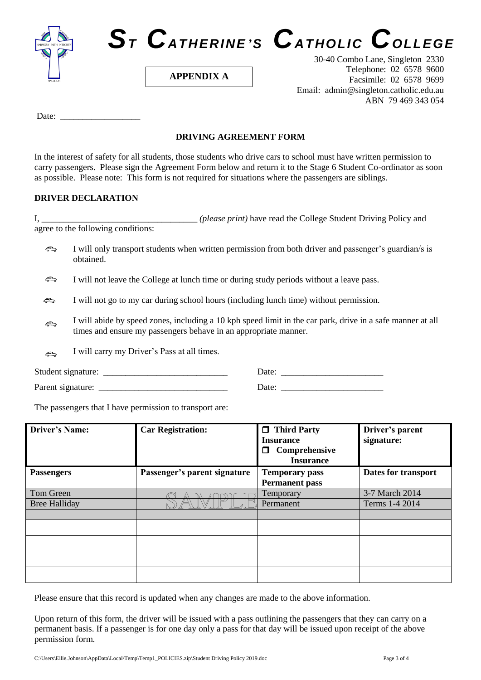



**APPENDIX A**

30-40 Combo Lane, Singleton 2330 Telephone: 02 6578 9600 Facsimile: 02 6578 9699 Email: admin@singleton.catholic.edu.au ABN 79 469 343 054

Date: \_\_\_\_\_\_\_\_\_\_\_\_\_\_\_\_\_\_

#### **DRIVING AGREEMENT FORM**

In the interest of safety for all students, those students who drive cars to school must have written permission to carry passengers. Please sign the Agreement Form below and return it to the Stage 6 Student Co-ordinator as soon as possible. Please note: This form is not required for situations where the passengers are siblings.

#### **DRIVER DECLARATION**

I, \_\_\_\_\_\_\_\_\_\_\_\_\_\_\_\_\_\_\_\_\_\_\_\_\_\_\_\_\_\_\_\_\_\_\_ *(please print)* have read the College Student Driving Policy and agree to the following conditions:

- $\bigcirc$ I will only transport students when written permission from both driver and passenger's guardian/s is obtained.
- $\Longleftrightarrow$ I will not leave the College at lunch time or during study periods without a leave pass.
- I will not go to my car during school hours (including lunch time) without permission.
- I will abide by speed zones, including a 10 kph speed limit in the car park, drive in a safe manner at all  $\bigoplus$ times and ensure my passengers behave in an appropriate manner.
- I will carry my Driver's Pass at all times.  $\blacktriangle$

Student signature: \_\_\_\_\_\_\_\_\_\_\_\_\_\_\_\_\_\_\_\_\_\_\_\_\_\_\_\_ Date: \_\_\_\_\_\_\_\_\_\_\_\_\_\_\_\_\_\_\_\_\_\_\_

Parent signature: \_\_\_\_\_\_\_\_\_\_\_\_\_\_\_\_\_\_\_\_\_\_\_\_\_\_\_\_\_ Date: \_\_\_\_\_\_\_\_\_\_\_\_\_\_\_\_\_\_\_\_\_\_\_

The passengers that I have permission to transport are:

| <b>Driver's Name:</b> | <b>Car Registration:</b>     | $\Box$ Third Party<br><b>Insurance</b>         | Driver's parent<br>signature: |
|-----------------------|------------------------------|------------------------------------------------|-------------------------------|
|                       |                              | ◻<br>Comprehensive<br><b>Insurance</b>         |                               |
| <b>Passengers</b>     | Passenger's parent signature | <b>Temporary pass</b><br><b>Permanent pass</b> | Dates for transport           |
| Tom Green             |                              | Temporary                                      | 3-7 March 2014                |
| <b>Bree Halliday</b>  |                              | Permanent                                      | Terms 1-4 2014                |
|                       |                              |                                                |                               |
|                       |                              |                                                |                               |
|                       |                              |                                                |                               |
|                       |                              |                                                |                               |
|                       |                              |                                                |                               |

Please ensure that this record is updated when any changes are made to the above information.

Upon return of this form, the driver will be issued with a pass outlining the passengers that they can carry on a permanent basis. If a passenger is for one day only a pass for that day will be issued upon receipt of the above permission form.